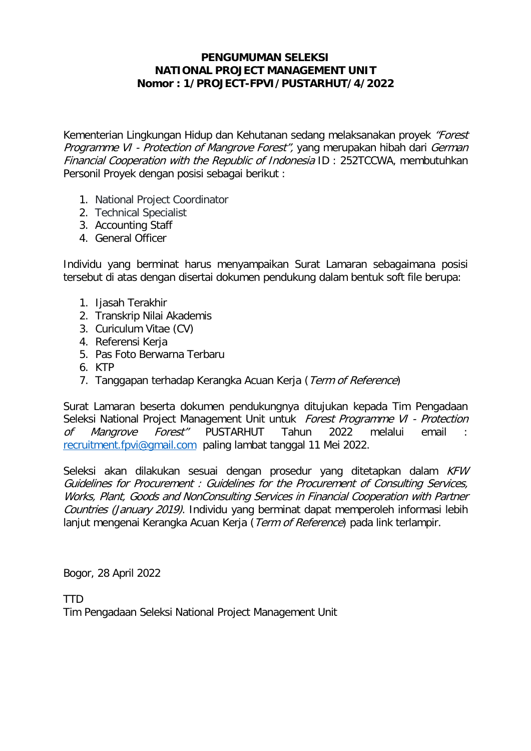#### **PENGUMUMAN SELEKSI NATIONAL PROJECT MANAGEMENT UNIT Nomor : 1/PROJECT-FPVI/PUSTARHUT/4/2022**

Kementerian Lingkungan Hidup dan Kehutanan sedang melaksanakan proyek "Forest Programme VI - Protection of Mangrove Forest", yang merupakan hibah dari German Financial Cooperation with the Republic of Indonesia ID : 252TCCWA, membutuhkan Personil Proyek dengan posisi sebagai berikut :

- 1. National Project Coordinator
- 2. Technical Specialist
- 3. Accounting Staff
- 4. General Officer

Individu yang berminat harus menyampaikan Surat Lamaran sebagaimana posisi tersebut di atas dengan disertai dokumen pendukung dalam bentuk soft file berupa:

- 1. Ijasah Terakhir
- 2. Transkrip Nilai Akademis
- 3. Curiculum Vitae (CV)
- 4. Referensi Kerja
- 5. Pas Foto Berwarna Terbaru
- 6. KTP
- 7. Tanggapan terhadap Kerangka Acuan Kerja (Term of Reference)

Surat Lamaran beserta dokumen pendukungnya ditujukan kepada Tim Pengadaan Seleksi National Project Management Unit untuk Forest Programme VI - Protection of Mangrove Forest" PUSTARHUT Tahun 2022 melalui email [recruitment.fpvi@gmail.com](mailto:recruitment.fpvi@gmail.com) paling lambat tanggal 11 Mei 2022.

Seleksi akan dilakukan sesuai dengan prosedur yang ditetapkan dalam KFW [Guidelines for](http://www.worldbank.org/html/opr/consult/contents.html) Procurement : Guidelines for the Procurement of Consulting Services, Works, Plant, Goods and NonConsulting Services in Financial Cooperation with Partner Countries (January 2019). Individu yang berminat dapat memperoleh informasi lebih lanjut mengenai Kerangka Acuan Kerja (Term of Reference) pada link terlampir.

Bogor, 28 April 2022

TTD Tim Pengadaan Seleksi National Project Management Unit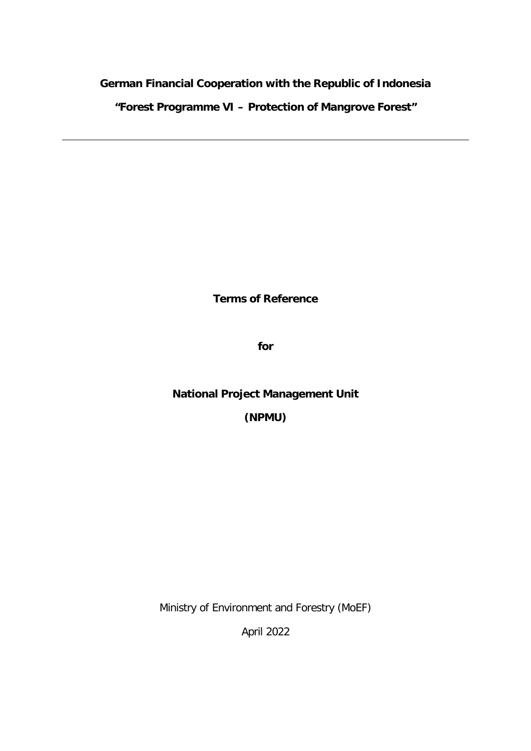#### **German Financial Cooperation with the Republic of Indonesia**

**"Forest Programme VI – Protection of Mangrove Forest"**

**Terms of Reference** 

**for**

## **National Project Management Unit**

**(NPMU)**

Ministry of Environment and Forestry (MoEF)

April 2022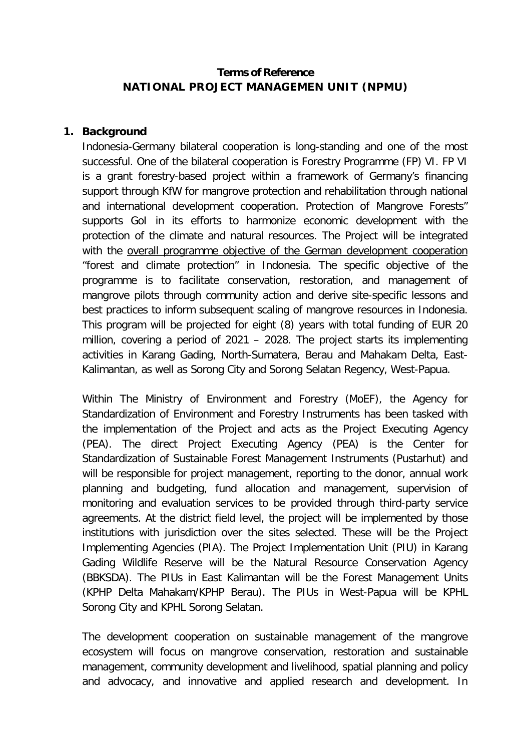#### **Terms of Reference NATIONAL PROJECT MANAGEMEN UNIT (NPMU)**

#### **1. Background**

Indonesia-Germany bilateral cooperation is long-standing and one of the most successful. One of the bilateral cooperation is Forestry Programme (FP) VI. FP VI is a grant forestry-based project within a framework of Germany's financing support through KfW for mangrove protection and rehabilitation through national and international development cooperation. Protection of Mangrove Forests" supports GoI in its efforts to harmonize economic development with the protection of the climate and natural resources. The Project will be integrated with the overall programme objective of the German development cooperation "forest and climate protection" in Indonesia. The specific objective of the programme is to facilitate conservation, restoration, and management of mangrove pilots through community action and derive site-specific lessons and best practices to inform subsequent scaling of mangrove resources in Indonesia. This program will be projected for eight (8) years with total funding of EUR 20 million, covering a period of 2021 – 2028. The project starts its implementing activities in Karang Gading, North-Sumatera, Berau and Mahakam Delta, East-Kalimantan, as well as Sorong City and Sorong Selatan Regency, West-Papua.

Within The Ministry of Environment and Forestry (MoEF), the Agency for Standardization of Environment and Forestry Instruments has been tasked with the implementation of the Project and acts as the Project Executing Agency (PEA). The direct Project Executing Agency (PEA) is the Center for Standardization of Sustainable Forest Management Instruments (Pustarhut) and will be responsible for project management, reporting to the donor, annual work planning and budgeting, fund allocation and management, supervision of monitoring and evaluation services to be provided through third-party service agreements. At the district field level, the project will be implemented by those institutions with jurisdiction over the sites selected. These will be the Project Implementing Agencies (PIA). The Project Implementation Unit (PIU) in Karang Gading Wildlife Reserve will be the Natural Resource Conservation Agency (BBKSDA). The PIUs in East Kalimantan will be the Forest Management Units (KPHP Delta Mahakam/KPHP Berau). The PIUs in West-Papua will be KPHL Sorong City and KPHL Sorong Selatan.

The development cooperation on sustainable management of the mangrove ecosystem will focus on mangrove conservation, restoration and sustainable management, community development and livelihood, spatial planning and policy and advocacy, and innovative and applied research and development. In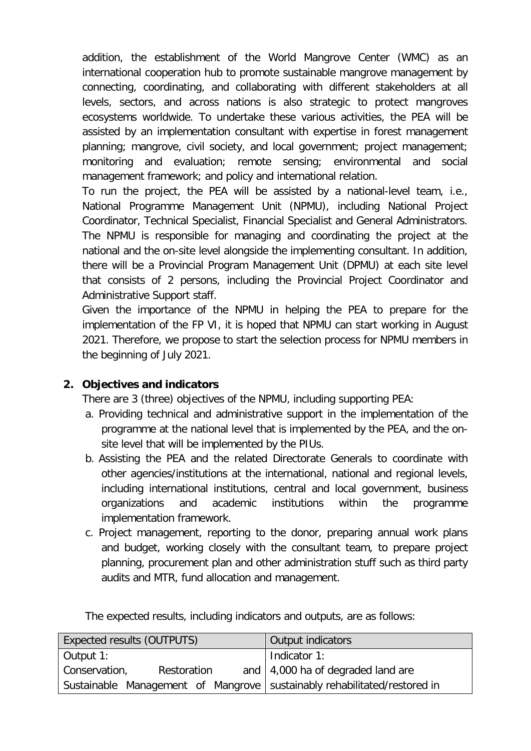addition, the establishment of the World Mangrove Center (WMC) as an international cooperation hub to promote sustainable mangrove management by connecting, coordinating, and collaborating with different stakeholders at all levels, sectors, and across nations is also strategic to protect mangroves ecosystems worldwide. To undertake these various activities, the PEA will be assisted by an implementation consultant with expertise in forest management planning; mangrove, civil society, and local government; project management; monitoring and evaluation; remote sensing; environmental and social management framework; and policy and international relation.

To run the project, the PEA will be assisted by a national-level team, i.e., National Programme Management Unit (NPMU), including National Project Coordinator, Technical Specialist, Financial Specialist and General Administrators. The NPMU is responsible for managing and coordinating the project at the national and the on-site level alongside the implementing consultant. In addition, there will be a Provincial Program Management Unit (DPMU) at each site level that consists of 2 persons, including the Provincial Project Coordinator and Administrative Support staff.

Given the importance of the NPMU in helping the PEA to prepare for the implementation of the FP VI, it is hoped that NPMU can start working in August 2021. Therefore, we propose to start the selection process for NPMU members in the beginning of July 2021.

#### **2. Objectives and indicators**

Conservation, Restoration and Sustainable Management of Mangrove

There are 3 (three) objectives of the NPMU, including supporting PEA:

- a. Providing technical and administrative support in the implementation of the programme at the national level that is implemented by the PEA, and the onsite level that will be implemented by the PIUs.
- b. Assisting the PEA and the related Directorate Generals to coordinate with other agencies/institutions at the international, national and regional levels, including international institutions, central and local government, business organizations and academic institutions within the programme implementation framework.
- c. Project management, reporting to the donor, preparing annual work plans and budget, working closely with the consultant team, to prepare project planning, procurement plan and other administration stuff such as third party audits and MTR, fund allocation and management.

4,000 ha of degraded land are

sustainably rehabilitated/restored in

Expected results (OUTPUTS) Contract and Output indicators Output 1: Indicator 1:

The expected results, including indicators and outputs, are as follows: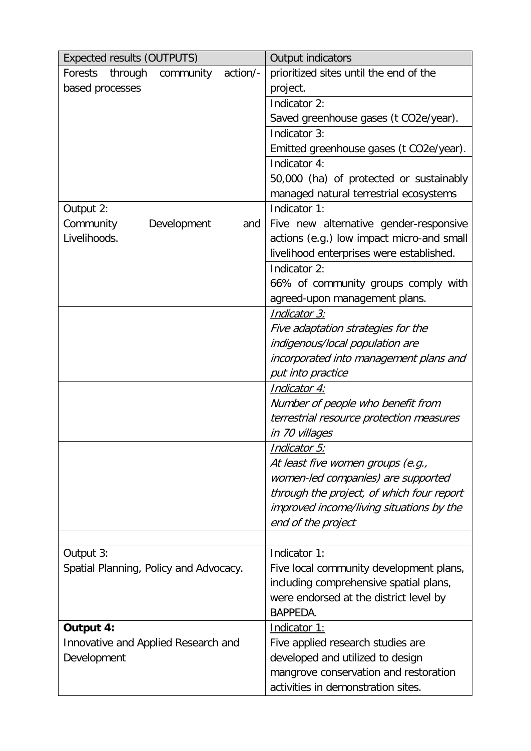| <b>Expected results (OUTPUTS)</b>           | Output indicators                         |
|---------------------------------------------|-------------------------------------------|
| action/-<br>Forests<br>through<br>community | prioritized sites until the end of the    |
| based processes                             | project.                                  |
|                                             | Indicator 2:                              |
|                                             | Saved greenhouse gases (t CO2e/year).     |
|                                             | Indicator 3:                              |
|                                             | Emitted greenhouse gases (t CO2e/year).   |
|                                             | Indicator 4:                              |
|                                             | 50,000 (ha) of protected or sustainably   |
|                                             | managed natural terrestrial ecosystems    |
| Output 2:                                   | Indicator 1:                              |
| Community<br>Development<br>and             | Five new alternative gender-responsive    |
| Livelihoods.                                | actions (e.g.) low impact micro-and small |
|                                             | livelihood enterprises were established.  |
|                                             | Indicator 2:                              |
|                                             | 66% of community groups comply with       |
|                                             | agreed-upon management plans.             |
|                                             | Indicator 3:                              |
|                                             | Five adaptation strategies for the        |
|                                             | indigenous/local population are           |
|                                             | incorporated into management plans and    |
|                                             | put into practice                         |
|                                             | <b>Indicator 4:</b>                       |
|                                             | Number of people who benefit from         |
|                                             | terrestrial resource protection measures  |
|                                             | in 70 villages                            |
|                                             | <u> Indicator 5:</u>                      |
|                                             | At least five women groups (e.g.,         |
|                                             | women-led companies) are supported        |
|                                             | through the project, of which four report |
|                                             | improved income/living situations by the  |
|                                             | end of the project                        |
|                                             |                                           |
| Output 3:                                   | Indicator 1:                              |
| Spatial Planning, Policy and Advocacy.      | Five local community development plans,   |
|                                             | including comprehensive spatial plans,    |
|                                             | were endorsed at the district level by    |
|                                             | BAPPEDA.                                  |
| Output 4:                                   | Indicator 1:                              |
| Innovative and Applied Research and         | Five applied research studies are         |
| Development                                 | developed and utilized to design          |
|                                             | mangrove conservation and restoration     |
|                                             | activities in demonstration sites.        |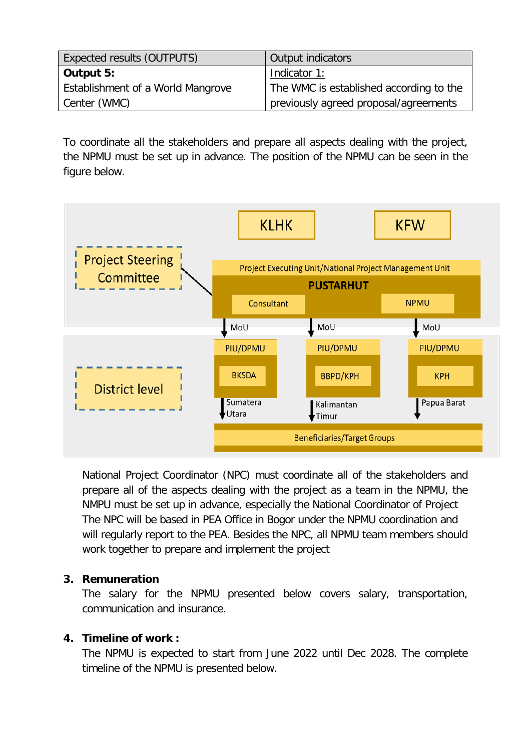| <b>Expected results (OUTPUTS)</b> | Output indicators                       |
|-----------------------------------|-----------------------------------------|
| Output 5:                         | Indicator 1:                            |
| Establishment of a World Mangrove | The WMC is established according to the |
| Center (WMC)                      | previously agreed proposal/agreements   |

To coordinate all the stakeholders and prepare all aspects dealing with the project, the NPMU must be set up in advance. The position of the NPMU can be seen in the figure below.



National Project Coordinator (NPC) must coordinate all of the stakeholders and prepare all of the aspects dealing with the project as a team in the NPMU, the NMPU must be set up in advance, especially the National Coordinator of Project The NPC will be based in PEA Office in Bogor under the NPMU coordination and will regularly report to the PEA. Besides the NPC, all NPMU team members should work together to prepare and implement the project

#### **3. Remuneration**

The salary for the NPMU presented below covers salary, transportation, communication and insurance.

#### **4. Timeline of work :**

The NPMU is expected to start from June 2022 until Dec 2028. The complete timeline of the NPMU is presented below.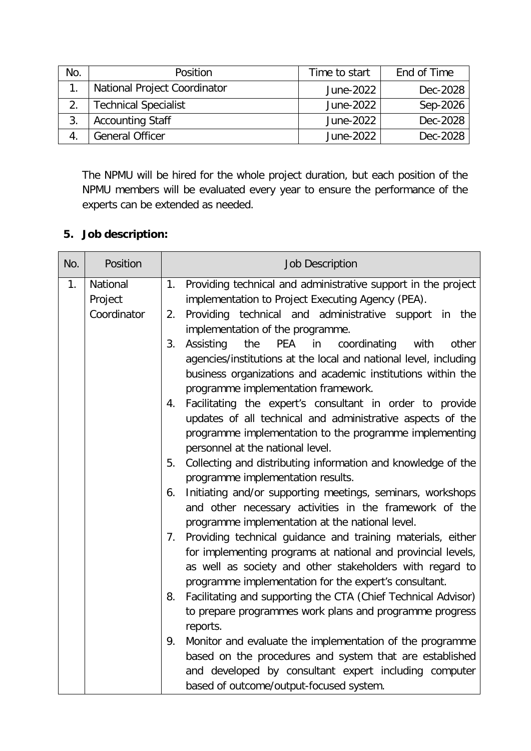| No.                          | Position                    | Time to start | End of Time |
|------------------------------|-----------------------------|---------------|-------------|
| National Project Coordinator |                             | June-2022     | Dec-2028    |
|                              | <b>Technical Specialist</b> | June-2022     | Sep-2026    |
| <b>Accounting Staff</b>      |                             | June-2022     | Dec-2028    |
|                              | <b>General Officer</b>      | June-2022     | Dec-2028    |

The NPMU will be hired for the whole project duration, but each position of the NPMU members will be evaluated every year to ensure the performance of the experts can be extended as needed.

### **5. Job description:**

| No. | Position                           | <b>Job Description</b>                                                                                                                                                                                                                                                                    |
|-----|------------------------------------|-------------------------------------------------------------------------------------------------------------------------------------------------------------------------------------------------------------------------------------------------------------------------------------------|
| 1.  | National<br>Project<br>Coordinator | Providing technical and administrative support in the project<br>1.<br>implementation to Project Executing Agency (PEA).<br>Providing technical and administrative support in the<br>2.                                                                                                   |
|     |                                    | implementation of the programme.<br>3.<br>the<br><b>PEA</b><br>in<br>Assisting<br>coordinating<br>with<br>other<br>agencies/institutions at the local and national level, including<br>business organizations and academic institutions within the<br>programme implementation framework. |
|     |                                    | Facilitating the expert's consultant in order to provide<br>4.<br>updates of all technical and administrative aspects of the<br>programme implementation to the programme implementing<br>personnel at the national level.                                                                |
|     |                                    | Collecting and distributing information and knowledge of the<br>5.<br>programme implementation results.                                                                                                                                                                                   |
|     |                                    | Initiating and/or supporting meetings, seminars, workshops<br>6.<br>and other necessary activities in the framework of the<br>programme implementation at the national level.                                                                                                             |
|     |                                    | Providing technical guidance and training materials, either<br>7 <sub>1</sub><br>for implementing programs at national and provincial levels,<br>as well as society and other stakeholders with regard to<br>programme implementation for the expert's consultant.                        |
|     |                                    | Facilitating and supporting the CTA (Chief Technical Advisor)<br>8.<br>to prepare programmes work plans and programme progress<br>reports.                                                                                                                                                |
|     |                                    | Monitor and evaluate the implementation of the programme<br>9.<br>based on the procedures and system that are established<br>and developed by consultant expert including computer<br>based of outcome/output-focused system.                                                             |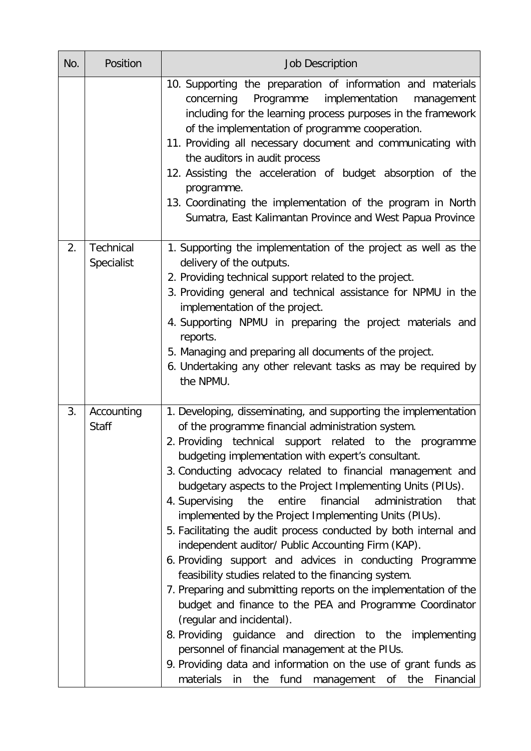| No. | Position                   | <b>Job Description</b>                                                                                                                                                                                                                                                                                                                                                                                                                                                                                                                                                                                                                                                                                                                                                                                                                                                                                                                                                                                                                                                                                                                                                   |
|-----|----------------------------|--------------------------------------------------------------------------------------------------------------------------------------------------------------------------------------------------------------------------------------------------------------------------------------------------------------------------------------------------------------------------------------------------------------------------------------------------------------------------------------------------------------------------------------------------------------------------------------------------------------------------------------------------------------------------------------------------------------------------------------------------------------------------------------------------------------------------------------------------------------------------------------------------------------------------------------------------------------------------------------------------------------------------------------------------------------------------------------------------------------------------------------------------------------------------|
|     |                            | 10. Supporting the preparation of information and materials<br>implementation<br>concerning Programme<br>management<br>including for the learning process purposes in the framework<br>of the implementation of programme cooperation.<br>11. Providing all necessary document and communicating with<br>the auditors in audit process<br>12. Assisting the acceleration of budget absorption of the<br>programme.<br>13. Coordinating the implementation of the program in North<br>Sumatra, East Kalimantan Province and West Papua Province                                                                                                                                                                                                                                                                                                                                                                                                                                                                                                                                                                                                                           |
| 2.  | Technical<br>Specialist    | 1. Supporting the implementation of the project as well as the<br>delivery of the outputs.<br>2. Providing technical support related to the project.<br>3. Providing general and technical assistance for NPMU in the<br>implementation of the project.<br>4. Supporting NPMU in preparing the project materials and<br>reports.<br>5. Managing and preparing all documents of the project.<br>6. Undertaking any other relevant tasks as may be required by<br>the NPMU.                                                                                                                                                                                                                                                                                                                                                                                                                                                                                                                                                                                                                                                                                                |
| 3.  | Accounting<br><b>Staff</b> | 1. Developing, disseminating, and supporting the implementation<br>of the programme financial administration system.<br>2. Providing technical support related to the programme<br>budgeting implementation with expert's consultant.<br>3. Conducting advocacy related to financial management and<br>budgetary aspects to the Project Implementing Units (PIUs).<br>4. Supervising<br>entire<br>financial<br>administration<br>the<br>that<br>implemented by the Project Implementing Units (PIUs).<br>5. Facilitating the audit process conducted by both internal and<br>independent auditor/ Public Accounting Firm (KAP).<br>6. Providing support and advices in conducting Programme<br>feasibility studies related to the financing system.<br>7. Preparing and submitting reports on the implementation of the<br>budget and finance to the PEA and Programme Coordinator<br>(regular and incidental).<br>8. Providing guidance and direction to the implementing<br>personnel of financial management at the PIUs.<br>9. Providing data and information on the use of grant funds as<br>materials<br>fund<br>of<br>the<br>Financial<br>in<br>the<br>management |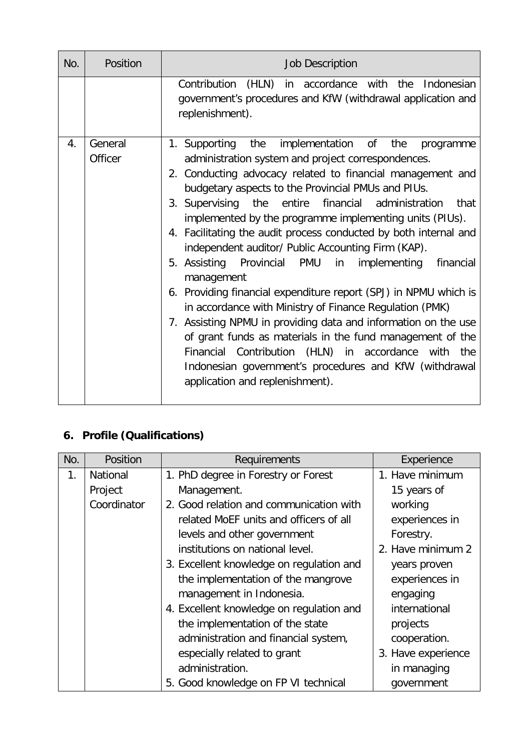| No. | Position           | <b>Job Description</b>                                                                                                                                                                                                                                                                                                                                                                                                                                                                                                                                                                                                                                                                                                                                                                                                                                                                                                                                                                       |
|-----|--------------------|----------------------------------------------------------------------------------------------------------------------------------------------------------------------------------------------------------------------------------------------------------------------------------------------------------------------------------------------------------------------------------------------------------------------------------------------------------------------------------------------------------------------------------------------------------------------------------------------------------------------------------------------------------------------------------------------------------------------------------------------------------------------------------------------------------------------------------------------------------------------------------------------------------------------------------------------------------------------------------------------|
|     |                    | Contribution (HLN) in accordance with the<br>Indonesian<br>government's procedures and KfW (withdrawal application and<br>replenishment).                                                                                                                                                                                                                                                                                                                                                                                                                                                                                                                                                                                                                                                                                                                                                                                                                                                    |
| 4.  | General<br>Officer | the<br>implementation of<br>1. Supporting<br>the<br>programme<br>administration system and project correspondences.<br>2. Conducting advocacy related to financial management and<br>budgetary aspects to the Provincial PMUs and PIUs.<br>3. Supervising the entire financial administration<br>that<br>implemented by the programme implementing units (PIUs).<br>4. Facilitating the audit process conducted by both internal and<br>independent auditor/ Public Accounting Firm (KAP).<br>5. Assisting Provincial PMU<br>in<br>implementing<br>financial<br>management<br>6. Providing financial expenditure report (SPJ) in NPMU which is<br>in accordance with Ministry of Finance Regulation (PMK)<br>7. Assisting NPMU in providing data and information on the use<br>of grant funds as materials in the fund management of the<br>Financial Contribution (HLN) in accordance with the<br>Indonesian government's procedures and KfW (withdrawal<br>application and replenishment). |

# **6. Profile (Qualifications)**

| No. | Position    | Requirements                             | Experience         |
|-----|-------------|------------------------------------------|--------------------|
| 1.  | National    | 1. PhD degree in Forestry or Forest      | 1. Have minimum    |
|     | Project     | Management.                              | 15 years of        |
|     | Coordinator | 2. Good relation and communication with  | working            |
|     |             | related MoEF units and officers of all   | experiences in     |
|     |             | levels and other government              | Forestry.          |
|     |             | institutions on national level.          | 2. Have minimum 2  |
|     |             | 3. Excellent knowledge on regulation and | years proven       |
|     |             | the implementation of the mangrove       | experiences in     |
|     |             | management in Indonesia.                 | engaging           |
|     |             | 4. Excellent knowledge on regulation and | international      |
|     |             | the implementation of the state          | projects           |
|     |             | administration and financial system,     | cooperation.       |
|     |             | especially related to grant              | 3. Have experience |
|     |             | administration.                          | in managing        |
|     |             | 5. Good knowledge on FP VI technical     | government         |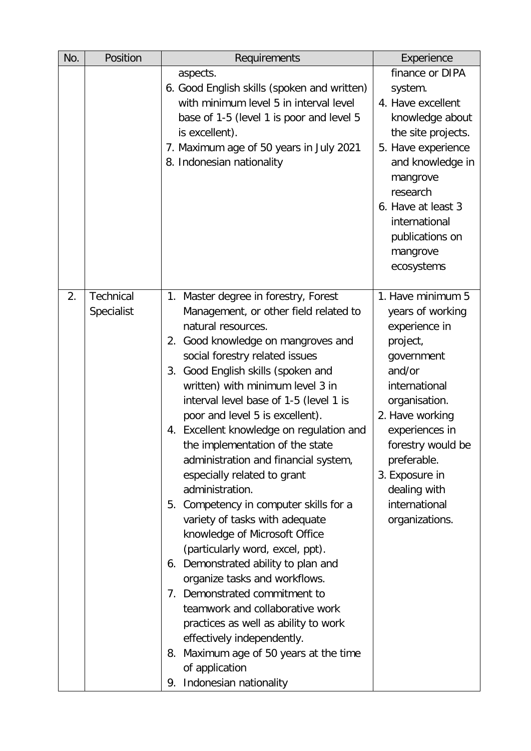| No. | Position         | Requirements                                                      | Experience         |
|-----|------------------|-------------------------------------------------------------------|--------------------|
|     |                  | aspects.                                                          | finance or DIPA    |
|     |                  | 6. Good English skills (spoken and written)                       | system.            |
|     |                  | with minimum level 5 in interval level                            | 4. Have excellent  |
|     |                  | base of 1-5 (level 1 is poor and level 5                          | knowledge about    |
|     |                  | is excellent).                                                    | the site projects. |
|     |                  | 7. Maximum age of 50 years in July 2021                           | 5. Have experience |
|     |                  | 8. Indonesian nationality                                         | and knowledge in   |
|     |                  |                                                                   | mangrove           |
|     |                  |                                                                   | research           |
|     |                  |                                                                   | 6. Have at least 3 |
|     |                  |                                                                   | international      |
|     |                  |                                                                   | publications on    |
|     |                  |                                                                   | mangrove           |
|     |                  |                                                                   | ecosystems         |
| 2.  | <b>Technical</b> | 1. Master degree in forestry, Forest                              | 1. Have minimum 5  |
|     | Specialist       | Management, or other field related to                             | years of working   |
|     |                  | natural resources.                                                | experience in      |
|     |                  | 2. Good knowledge on mangroves and                                | project,           |
|     |                  | social forestry related issues                                    | government         |
|     |                  | 3. Good English skills (spoken and                                | and/or             |
|     |                  | written) with minimum level 3 in                                  | international      |
|     |                  | interval level base of 1-5 (level 1 is                            | organisation.      |
|     |                  | poor and level 5 is excellent).                                   | 2. Have working    |
|     |                  | 4. Excellent knowledge on regulation and                          | experiences in     |
|     |                  | the implementation of the state                                   | forestry would be  |
|     |                  | administration and financial system,                              | preferable.        |
|     |                  | especially related to grant                                       | 3. Exposure in     |
|     |                  | administration.                                                   | dealing with       |
|     |                  | 5. Competency in computer skills for a                            | international      |
|     |                  | variety of tasks with adequate                                    | organizations.     |
|     |                  | knowledge of Microsoft Office<br>(particularly word, excel, ppt). |                    |
|     |                  | 6. Demonstrated ability to plan and                               |                    |
|     |                  | organize tasks and workflows.                                     |                    |
|     |                  | 7. Demonstrated commitment to                                     |                    |
|     |                  | teamwork and collaborative work                                   |                    |
|     |                  | practices as well as ability to work                              |                    |
|     |                  | effectively independently.                                        |                    |
|     |                  | 8. Maximum age of 50 years at the time                            |                    |
|     |                  | of application                                                    |                    |
|     |                  | Indonesian nationality<br>9.                                      |                    |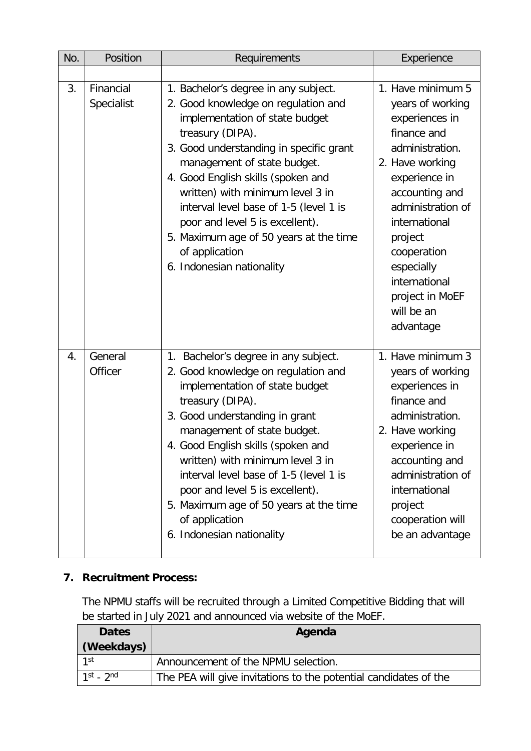| No. | Position                | Requirements                                                                                                                                                                                                                                                                                                                                                                                                                                                | Experience                                                                                                                                                                                                                                                                                   |
|-----|-------------------------|-------------------------------------------------------------------------------------------------------------------------------------------------------------------------------------------------------------------------------------------------------------------------------------------------------------------------------------------------------------------------------------------------------------------------------------------------------------|----------------------------------------------------------------------------------------------------------------------------------------------------------------------------------------------------------------------------------------------------------------------------------------------|
|     |                         |                                                                                                                                                                                                                                                                                                                                                                                                                                                             |                                                                                                                                                                                                                                                                                              |
| 3.  | Financial<br>Specialist | 1. Bachelor's degree in any subject.<br>2. Good knowledge on regulation and<br>implementation of state budget<br>treasury (DIPA).<br>3. Good understanding in specific grant<br>management of state budget.<br>4. Good English skills (spoken and<br>written) with minimum level 3 in<br>interval level base of 1-5 (level 1 is<br>poor and level 5 is excellent).<br>5. Maximum age of 50 years at the time<br>of application<br>6. Indonesian nationality | 1. Have minimum 5<br>years of working<br>experiences in<br>finance and<br>administration.<br>2. Have working<br>experience in<br>accounting and<br>administration of<br>international<br>project<br>cooperation<br>especially<br>international<br>project in MoEF<br>will be an<br>advantage |
| 4.  | General<br>Officer      | 1. Bachelor's degree in any subject.<br>2. Good knowledge on regulation and<br>implementation of state budget<br>treasury (DIPA).<br>3. Good understanding in grant<br>management of state budget.<br>4. Good English skills (spoken and<br>written) with minimum level 3 in<br>interval level base of 1-5 (level 1 is<br>poor and level 5 is excellent).<br>5. Maximum age of 50 years at the time<br>of application<br>6. Indonesian nationality          | 1. Have minimum 3<br>years of working<br>experiences in<br>finance and<br>administration.<br>2. Have working<br>experience in<br>accounting and<br>administration of<br>international<br>project<br>cooperation will<br>be an advantage                                                      |

### **7. Recruitment Process:**

The NPMU staffs will be recruited through a Limited Competitive Bidding that will be started in July 2021 and announced via website of the MoEF.

| <b>Dates</b><br>(Weekdays) | Agenda                                                           |
|----------------------------|------------------------------------------------------------------|
| 1st                        | Announcement of the NPMU selection.                              |
| $1st$ - $2nd$              | The PEA will give invitations to the potential candidates of the |